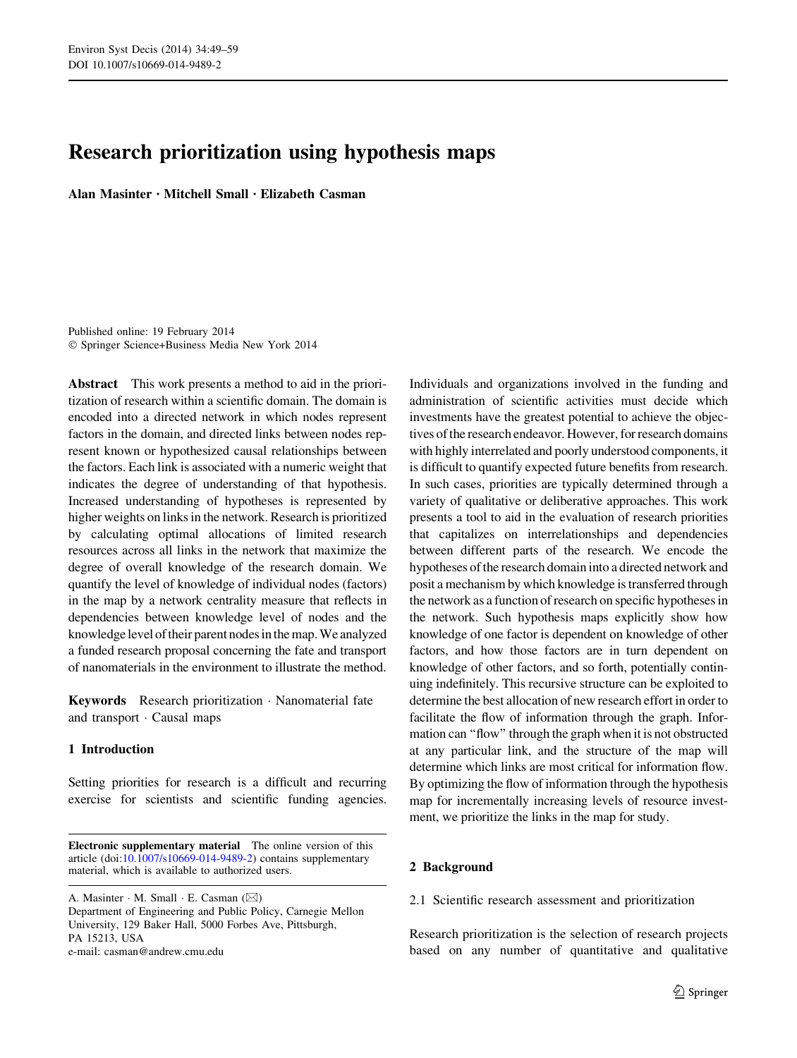# Research prioritization using hypothesis maps

Alan Masinter • Mitchell Small • Elizabeth Casman

Published online: 19 February 2014 - Springer Science+Business Media New York 2014

Abstract This work presents a method to aid in the prioritization of research within a scientific domain. The domain is encoded into a directed network in which nodes represent factors in the domain, and directed links between nodes represent known or hypothesized causal relationships between the factors. Each link is associated with a numeric weight that indicates the degree of understanding of that hypothesis. Increased understanding of hypotheses is represented by higher weights on links in the network. Research is prioritized by calculating optimal allocations of limited research resources across all links in the network that maximize the degree of overall knowledge of the research domain. We quantify the level of knowledge of individual nodes (factors) in the map by a network centrality measure that reflects in dependencies between knowledge level of nodes and the knowledge level of their parent nodes in the map. We analyzed a funded research proposal concerning the fate and transport of nanomaterials in the environment to illustrate the method.

Keywords Research prioritization · Nanomaterial fate and transport - Causal maps

## 1 Introduction

Setting priorities for research is a difficult and recurring exercise for scientists and scientific funding agencies. Individuals and organizations involved in the funding and administration of scientific activities must decide which investments have the greatest potential to achieve the objectives of the research endeavor. However, for research domains with highly interrelated and poorly understood components, it is difficult to quantify expected future benefits from research. In such cases, priorities are typically determined through a variety of qualitative or deliberative approaches. This work presents a tool to aid in the evaluation of research priorities that capitalizes on interrelationships and dependencies between different parts of the research. We encode the hypotheses of the research domain into a directed network and posit a mechanism by which knowledge is transferred through the network as a function of research on specific hypotheses in the network. Such hypothesis maps explicitly show how knowledge of one factor is dependent on knowledge of other factors, and how those factors are in turn dependent on knowledge of other factors, and so forth, potentially continuing indefinitely. This recursive structure can be exploited to determine the best allocation of new research effort in order to facilitate the flow of information through the graph. Information can ''flow'' through the graph when it is not obstructed at any particular link, and the structure of the map will determine which links are most critical for information flow. By optimizing the flow of information through the hypothesis map for incrementally increasing levels of resource investment, we prioritize the links in the map for study.

#### 2 Background

2.1 Scientific research assessment and prioritization

Research prioritization is the selection of research projects based on any number of quantitative and qualitative

Electronic supplementary material The online version of this article (doi:[10.1007/s10669-014-9489-2\)](http://dx.doi.org/10.1007/s10669-014-9489-2) contains supplementary material, which is available to authorized users.

A. Masinter  $\cdot$  M. Small  $\cdot$  E. Casman ( $\boxtimes$ ) Department of Engineering and Public Policy, Carnegie Mellon University, 129 Baker Hall, 5000 Forbes Ave, Pittsburgh, PA 15213, USA e-mail: casman@andrew.cmu.edu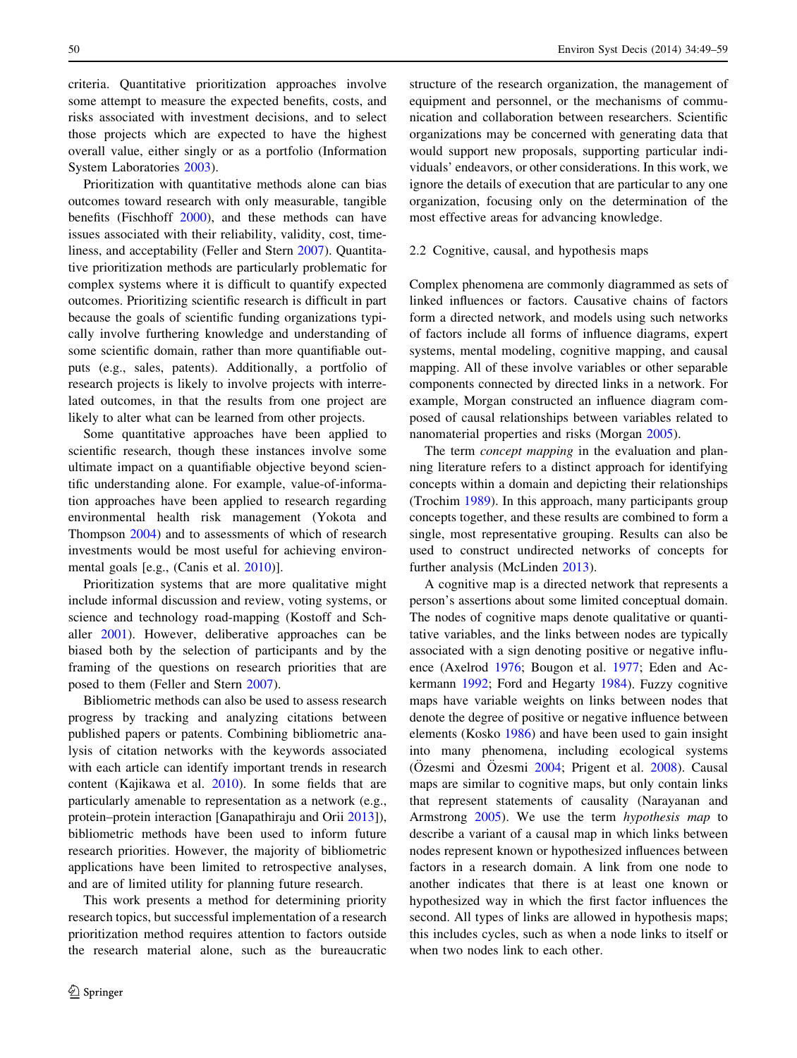criteria. Quantitative prioritization approaches involve some attempt to measure the expected benefits, costs, and risks associated with investment decisions, and to select those projects which are expected to have the highest overall value, either singly or as a portfolio (Information System Laboratories [2003\)](#page-9-0).

Prioritization with quantitative methods alone can bias outcomes toward research with only measurable, tangible benefits (Fischhoff [2000](#page-9-0)), and these methods can have issues associated with their reliability, validity, cost, timeliness, and acceptability (Feller and Stern [2007](#page-9-0)). Quantitative prioritization methods are particularly problematic for complex systems where it is difficult to quantify expected outcomes. Prioritizing scientific research is difficult in part because the goals of scientific funding organizations typically involve furthering knowledge and understanding of some scientific domain, rather than more quantifiable outputs (e.g., sales, patents). Additionally, a portfolio of research projects is likely to involve projects with interrelated outcomes, in that the results from one project are likely to alter what can be learned from other projects.

Some quantitative approaches have been applied to scientific research, though these instances involve some ultimate impact on a quantifiable objective beyond scientific understanding alone. For example, value-of-information approaches have been applied to research regarding environmental health risk management (Yokota and Thompson [2004](#page-10-0)) and to assessments of which of research investments would be most useful for achieving environmental goals [e.g., (Canis et al. [2010\)](#page-9-0)].

Prioritization systems that are more qualitative might include informal discussion and review, voting systems, or science and technology road-mapping (Kostoff and Schaller [2001](#page-9-0)). However, deliberative approaches can be biased both by the selection of participants and by the framing of the questions on research priorities that are posed to them (Feller and Stern [2007](#page-9-0)).

Bibliometric methods can also be used to assess research progress by tracking and analyzing citations between published papers or patents. Combining bibliometric analysis of citation networks with the keywords associated with each article can identify important trends in research content (Kajikawa et al. [2010](#page-9-0)). In some fields that are particularly amenable to representation as a network (e.g., protein–protein interaction [Ganapathiraju and Orii [2013](#page-9-0)]), bibliometric methods have been used to inform future research priorities. However, the majority of bibliometric applications have been limited to retrospective analyses, and are of limited utility for planning future research.

This work presents a method for determining priority research topics, but successful implementation of a research prioritization method requires attention to factors outside the research material alone, such as the bureaucratic structure of the research organization, the management of equipment and personnel, or the mechanisms of communication and collaboration between researchers. Scientific organizations may be concerned with generating data that would support new proposals, supporting particular individuals' endeavors, or other considerations. In this work, we ignore the details of execution that are particular to any one organization, focusing only on the determination of the most effective areas for advancing knowledge.

#### 2.2 Cognitive, causal, and hypothesis maps

Complex phenomena are commonly diagrammed as sets of linked influences or factors. Causative chains of factors form a directed network, and models using such networks of factors include all forms of influence diagrams, expert systems, mental modeling, cognitive mapping, and causal mapping. All of these involve variables or other separable components connected by directed links in a network. For example, Morgan constructed an influence diagram composed of causal relationships between variables related to nanomaterial properties and risks (Morgan [2005](#page-10-0)).

The term *concept mapping* in the evaluation and planning literature refers to a distinct approach for identifying concepts within a domain and depicting their relationships (Trochim [1989\)](#page-10-0). In this approach, many participants group concepts together, and these results are combined to form a single, most representative grouping. Results can also be used to construct undirected networks of concepts for further analysis (McLinden [2013\)](#page-10-0).

A cognitive map is a directed network that represents a person's assertions about some limited conceptual domain. The nodes of cognitive maps denote qualitative or quantitative variables, and the links between nodes are typically associated with a sign denoting positive or negative influence (Axelrod [1976;](#page-9-0) Bougon et al. [1977;](#page-9-0) Eden and Ackermann [1992](#page-9-0); Ford and Hegarty [1984\)](#page-9-0). Fuzzy cognitive maps have variable weights on links between nodes that denote the degree of positive or negative influence between elements (Kosko [1986](#page-9-0)) and have been used to gain insight into many phenomena, including ecological systems ( $O$  zesmi and  $O$  zesmi  $2004$ ; Prigent et al.  $2008$ ). Causal maps are similar to cognitive maps, but only contain links that represent statements of causality (Narayanan and Armstrong [2005\)](#page-10-0). We use the term hypothesis map to describe a variant of a causal map in which links between nodes represent known or hypothesized influences between factors in a research domain. A link from one node to another indicates that there is at least one known or hypothesized way in which the first factor influences the second. All types of links are allowed in hypothesis maps; this includes cycles, such as when a node links to itself or when two nodes link to each other.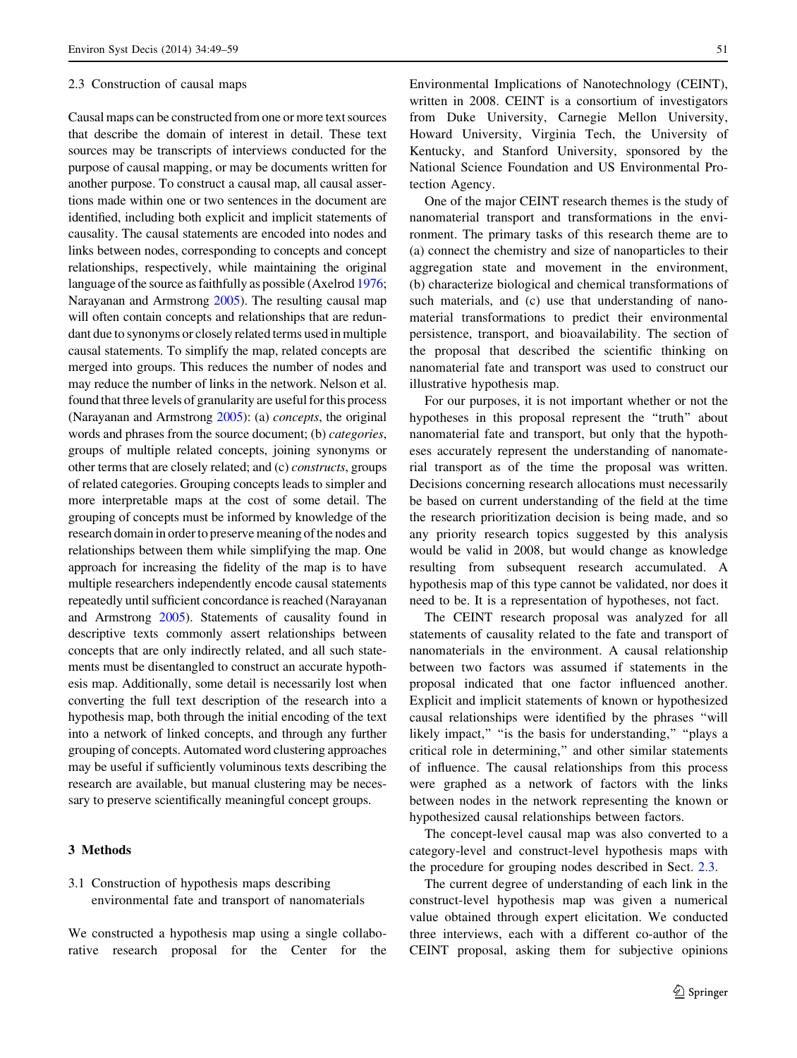#### 2.3 Construction of causal maps

Causal maps can be constructed from one or more text sources that describe the domain of interest in detail. These text sources may be transcripts of interviews conducted for the purpose of causal mapping, or may be documents written for another purpose. To construct a causal map, all causal assertions made within one or two sentences in the document are identified, including both explicit and implicit statements of causality. The causal statements are encoded into nodes and links between nodes, corresponding to concepts and concept relationships, respectively, while maintaining the original language of the source as faithfully as possible (Axelrod [1976](#page-9-0); Narayanan and Armstrong [2005](#page-10-0)). The resulting causal map will often contain concepts and relationships that are redundant due to synonyms or closely related terms used in multiple causal statements. To simplify the map, related concepts are merged into groups. This reduces the number of nodes and may reduce the number of links in the network. Nelson et al. found that three levels of granularity are useful for this process (Narayanan and Armstrong [2005\)](#page-10-0): (a) concepts, the original words and phrases from the source document; (b) categories, groups of multiple related concepts, joining synonyms or other terms that are closely related; and (c) constructs, groups of related categories. Grouping concepts leads to simpler and more interpretable maps at the cost of some detail. The grouping of concepts must be informed by knowledge of the research domain in order to preserve meaning of the nodes and relationships between them while simplifying the map. One approach for increasing the fidelity of the map is to have multiple researchers independently encode causal statements repeatedly until sufficient concordance is reached (Narayanan and Armstrong [2005\)](#page-10-0). Statements of causality found in descriptive texts commonly assert relationships between concepts that are only indirectly related, and all such statements must be disentangled to construct an accurate hypothesis map. Additionally, some detail is necessarily lost when converting the full text description of the research into a hypothesis map, both through the initial encoding of the text into a network of linked concepts, and through any further grouping of concepts. Automated word clustering approaches may be useful if sufficiently voluminous texts describing the research are available, but manual clustering may be necessary to preserve scientifically meaningful concept groups.

## 3 Methods

# 3.1 Construction of hypothesis maps describing environmental fate and transport of nanomaterials

We constructed a hypothesis map using a single collaborative research proposal for the Center for the

Environmental Implications of Nanotechnology (CEINT), written in 2008. CEINT is a consortium of investigators from Duke University, Carnegie Mellon University, Howard University, Virginia Tech, the University of Kentucky, and Stanford University, sponsored by the National Science Foundation and US Environmental Protection Agency.

One of the major CEINT research themes is the study of nanomaterial transport and transformations in the environment. The primary tasks of this research theme are to (a) connect the chemistry and size of nanoparticles to their aggregation state and movement in the environment, (b) characterize biological and chemical transformations of such materials, and (c) use that understanding of nanomaterial transformations to predict their environmental persistence, transport, and bioavailability. The section of the proposal that described the scientific thinking on nanomaterial fate and transport was used to construct our illustrative hypothesis map.

For our purposes, it is not important whether or not the hypotheses in this proposal represent the ''truth'' about nanomaterial fate and transport, but only that the hypotheses accurately represent the understanding of nanomaterial transport as of the time the proposal was written. Decisions concerning research allocations must necessarily be based on current understanding of the field at the time the research prioritization decision is being made, and so any priority research topics suggested by this analysis would be valid in 2008, but would change as knowledge resulting from subsequent research accumulated. A hypothesis map of this type cannot be validated, nor does it need to be. It is a representation of hypotheses, not fact.

The CEINT research proposal was analyzed for all statements of causality related to the fate and transport of nanomaterials in the environment. A causal relationship between two factors was assumed if statements in the proposal indicated that one factor influenced another. Explicit and implicit statements of known or hypothesized causal relationships were identified by the phrases ''will likely impact," "is the basis for understanding," "plays a critical role in determining,'' and other similar statements of influence. The causal relationships from this process were graphed as a network of factors with the links between nodes in the network representing the known or hypothesized causal relationships between factors.

The concept-level causal map was also converted to a category-level and construct-level hypothesis maps with the procedure for grouping nodes described in Sect. 2.3.

The current degree of understanding of each link in the construct-level hypothesis map was given a numerical value obtained through expert elicitation. We conducted three interviews, each with a different co-author of the CEINT proposal, asking them for subjective opinions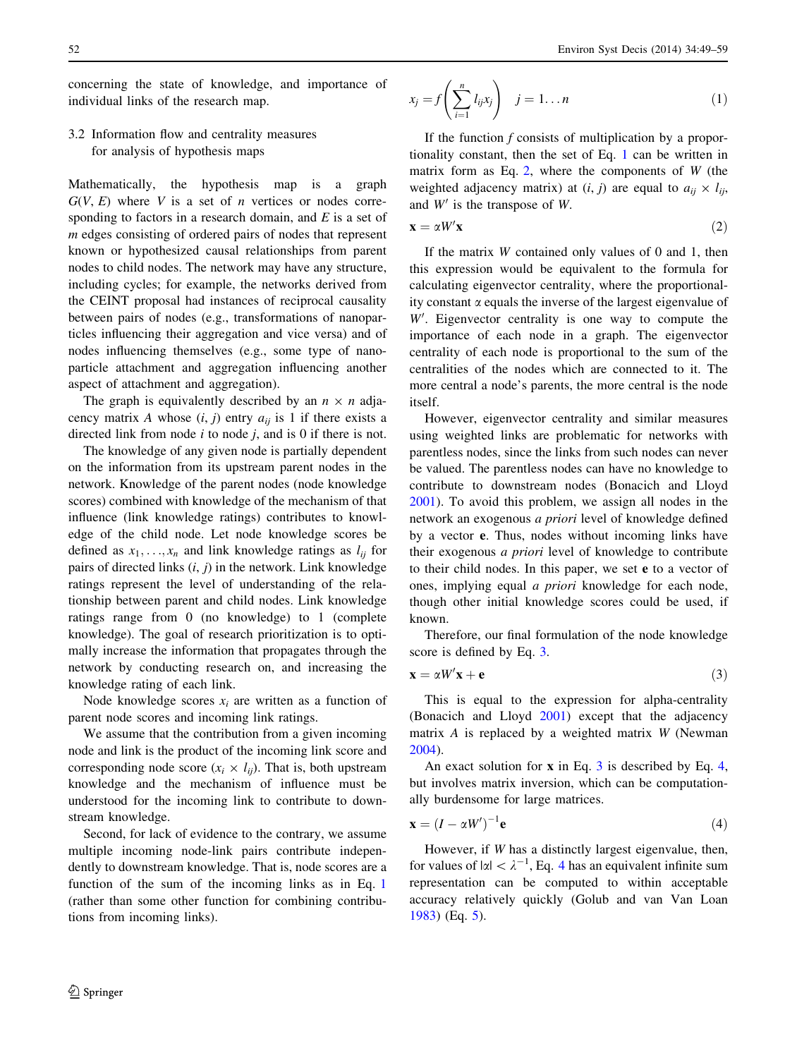<span id="page-3-0"></span>concerning the state of knowledge, and importance of individual links of the research map.

3.2 Information flow and centrality measures for analysis of hypothesis maps

Mathematically, the hypothesis map is a graph  $G(V, E)$  where V is a set of *n* vertices or nodes corresponding to factors in a research domain, and  $E$  is a set of m edges consisting of ordered pairs of nodes that represent known or hypothesized causal relationships from parent nodes to child nodes. The network may have any structure, including cycles; for example, the networks derived from the CEINT proposal had instances of reciprocal causality between pairs of nodes (e.g., transformations of nanoparticles influencing their aggregation and vice versa) and of nodes influencing themselves (e.g., some type of nanoparticle attachment and aggregation influencing another aspect of attachment and aggregation).

The graph is equivalently described by an  $n \times n$  adjacency matrix A whose  $(i, j)$  entry  $a_{ij}$  is 1 if there exists a directed link from node  $i$  to node  $j$ , and is 0 if there is not.

The knowledge of any given node is partially dependent on the information from its upstream parent nodes in the network. Knowledge of the parent nodes (node knowledge scores) combined with knowledge of the mechanism of that influence (link knowledge ratings) contributes to knowledge of the child node. Let node knowledge scores be defined as  $x_1, \ldots, x_n$  and link knowledge ratings as  $l_{ii}$  for pairs of directed links  $(i, j)$  in the network. Link knowledge ratings represent the level of understanding of the relationship between parent and child nodes. Link knowledge ratings range from 0 (no knowledge) to 1 (complete knowledge). The goal of research prioritization is to optimally increase the information that propagates through the network by conducting research on, and increasing the knowledge rating of each link.

Node knowledge scores  $x_i$  are written as a function of parent node scores and incoming link ratings.

We assume that the contribution from a given incoming node and link is the product of the incoming link score and corresponding node score  $(x_i \times l_{ii})$ . That is, both upstream knowledge and the mechanism of influence must be understood for the incoming link to contribute to downstream knowledge.

Second, for lack of evidence to the contrary, we assume multiple incoming node-link pairs contribute independently to downstream knowledge. That is, node scores are a function of the sum of the incoming links as in Eq. 1 (rather than some other function for combining contributions from incoming links).

$$
x_j = f\left(\sum_{i=1}^n l_{ij}x_j\right) \quad j = 1...n \tag{1}
$$

If the function  $f$  consists of multiplication by a proportionality constant, then the set of Eq. 1 can be written in matrix form as Eq. 2, where the components of  $W$  (the weighted adjacency matrix) at  $(i, j)$  are equal to  $a_{ij} \times l_{ij}$ , and  $W'$  is the transpose of  $W$ .

$$
\mathbf{x} = \alpha W' \mathbf{x} \tag{2}
$$

If the matrix  $W$  contained only values of 0 and 1, then this expression would be equivalent to the formula for calculating eigenvector centrality, where the proportionality constant  $\alpha$  equals the inverse of the largest eigenvalue of  $W'$ . Eigenvector centrality is one way to compute the importance of each node in a graph. The eigenvector centrality of each node is proportional to the sum of the centralities of the nodes which are connected to it. The more central a node's parents, the more central is the node itself.

However, eigenvector centrality and similar measures using weighted links are problematic for networks with parentless nodes, since the links from such nodes can never be valued. The parentless nodes can have no knowledge to contribute to downstream nodes (Bonacich and Lloyd [2001](#page-9-0)). To avoid this problem, we assign all nodes in the network an exogenous a priori level of knowledge defined by a vector e. Thus, nodes without incoming links have their exogenous a priori level of knowledge to contribute to their child nodes. In this paper, we set e to a vector of ones, implying equal a priori knowledge for each node, though other initial knowledge scores could be used, if known.

Therefore, our final formulation of the node knowledge score is defined by Eq. 3.

$$
\mathbf{x} = \alpha W' \mathbf{x} + \mathbf{e} \tag{3}
$$

This is equal to the expression for alpha-centrality (Bonacich and Lloyd [2001](#page-9-0)) except that the adjacency matrix  $A$  is replaced by a weighted matrix  $W$  (Newman [2004](#page-10-0)).

An exact solution for  $x$  in Eq. 3 is described by Eq. 4, but involves matrix inversion, which can be computationally burdensome for large matrices.

$$
\mathbf{x} = (I - \alpha W')^{-1} \mathbf{e}
$$
 (4)

However, if W has a distinctly largest eigenvalue, then, for values of  $|\alpha| < \lambda^{-1}$ , Eq. 4 has an equivalent infinite sum representation can be computed to within acceptable accuracy relatively quickly (Golub and van Van Loan [1983](#page-9-0)) (Eq. 5).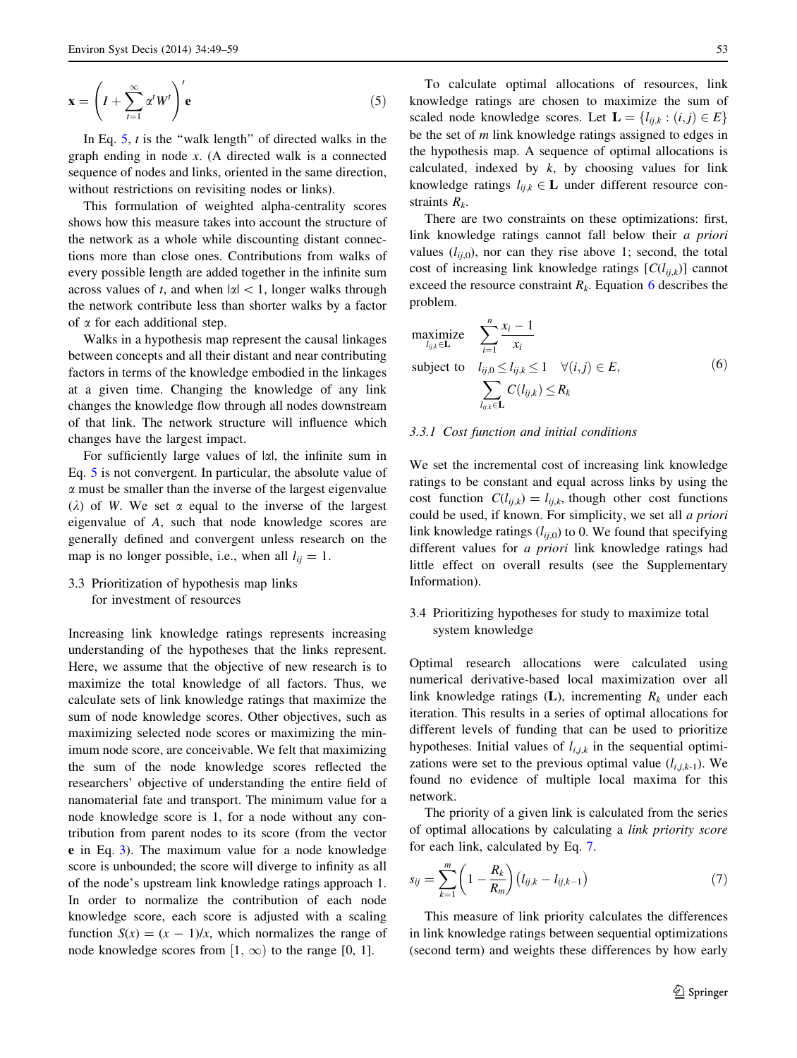$$
\mathbf{x} = \left( I + \sum_{t=1}^{\infty} \alpha^t W^t \right)' \mathbf{e}
$$
 (5)

In Eq.  $5$ ,  $t$  is the "walk length" of directed walks in the graph ending in node  $x$ . (A directed walk is a connected sequence of nodes and links, oriented in the same direction, without restrictions on revisiting nodes or links).

This formulation of weighted alpha-centrality scores shows how this measure takes into account the structure of the network as a whole while discounting distant connections more than close ones. Contributions from walks of every possible length are added together in the infinite sum across values of t, and when  $|\alpha|$  < 1, longer walks through the network contribute less than shorter walks by a factor of  $\alpha$  for each additional step.

Walks in a hypothesis map represent the causal linkages between concepts and all their distant and near contributing factors in terms of the knowledge embodied in the linkages at a given time. Changing the knowledge of any link changes the knowledge flow through all nodes downstream of that link. The network structure will influence which changes have the largest impact.

For sufficiently large values of  $|\alpha|$ , the infinite sum in Eq. [5](#page-3-0) is not convergent. In particular, the absolute value of  $\alpha$  must be smaller than the inverse of the largest eigenvalue  $(\lambda)$  of W. We set  $\alpha$  equal to the inverse of the largest eigenvalue of A, such that node knowledge scores are generally defined and convergent unless research on the map is no longer possible, i.e., when all  $l_{ij} = 1$ .

3.3 Prioritization of hypothesis map links for investment of resources

Increasing link knowledge ratings represents increasing understanding of the hypotheses that the links represent. Here, we assume that the objective of new research is to maximize the total knowledge of all factors. Thus, we calculate sets of link knowledge ratings that maximize the sum of node knowledge scores. Other objectives, such as maximizing selected node scores or maximizing the minimum node score, are conceivable. We felt that maximizing the sum of the node knowledge scores reflected the researchers' objective of understanding the entire field of nanomaterial fate and transport. The minimum value for a node knowledge score is 1, for a node without any contribution from parent nodes to its score (from the vector e in Eq. [3](#page-3-0)). The maximum value for a node knowledge score is unbounded; the score will diverge to infinity as all of the node's upstream link knowledge ratings approach 1. In order to normalize the contribution of each node knowledge score, each score is adjusted with a scaling function  $S(x) = (x - 1)/x$ , which normalizes the range of node knowledge scores from  $(1, \infty)$  to the range  $[0, 1]$ .

To calculate optimal allocations of resources, link knowledge ratings are chosen to maximize the sum of scaled node knowledge scores. Let  $\mathbf{L} = \{l_{ij,k} : (i,j) \in E\}$ be the set of m link knowledge ratings assigned to edges in the hypothesis map. A sequence of optimal allocations is calculated, indexed by  $k$ , by choosing values for link knowledge ratings  $l_{i,k} \in L$  under different resource constraints  $R_k$ .

There are two constraints on these optimizations: first, link knowledge ratings cannot fall below their a priori values  $(l_{ii,0})$ , nor can they rise above 1; second, the total cost of increasing link knowledge ratings  $[C(l_{ijk})]$  cannot exceed the resource constraint  $R_k$ . Equation 6 describes the problem.

$$
\begin{array}{ll}\n\text{maximize} & \sum_{i=1}^{n} \frac{x_i - 1}{x_i} \\
\text{subject to} & l_{ij,0} \le l_{ij,k} \le 1 \quad \forall (i,j) \in E, \\
& \sum_{l_{ij,k} \in \mathbf{L}} C(l_{ij,k}) \le R_k\n\end{array} \tag{6}
$$

#### 3.3.1 Cost function and initial conditions

We set the incremental cost of increasing link knowledge ratings to be constant and equal across links by using the cost function  $C(l_{ii,k}) = l_{ii,k}$ , though other cost functions could be used, if known. For simplicity, we set all a priori link knowledge ratings  $(l_{ij,0})$  to 0. We found that specifying different values for *a priori* link knowledge ratings had little effect on overall results (see the Supplementary Information).

#### 3.4 Prioritizing hypotheses for study to maximize total system knowledge

Optimal research allocations were calculated using numerical derivative-based local maximization over all link knowledge ratings (L), incrementing  $R_k$  under each iteration. This results in a series of optimal allocations for different levels of funding that can be used to prioritize hypotheses. Initial values of  $l_{i,j,k}$  in the sequential optimizations were set to the previous optimal value  $(l_{i,j,k-1})$ . We found no evidence of multiple local maxima for this network.

The priority of a given link is calculated from the series of optimal allocations by calculating a link priority score for each link, calculated by Eq. 7.

$$
s_{ij} = \sum_{k=1}^{m} \left( 1 - \frac{R_k}{R_m} \right) \left( l_{ij,k} - l_{ij,k-1} \right) \tag{7}
$$

This measure of link priority calculates the differences in link knowledge ratings between sequential optimizations (second term) and weights these differences by how early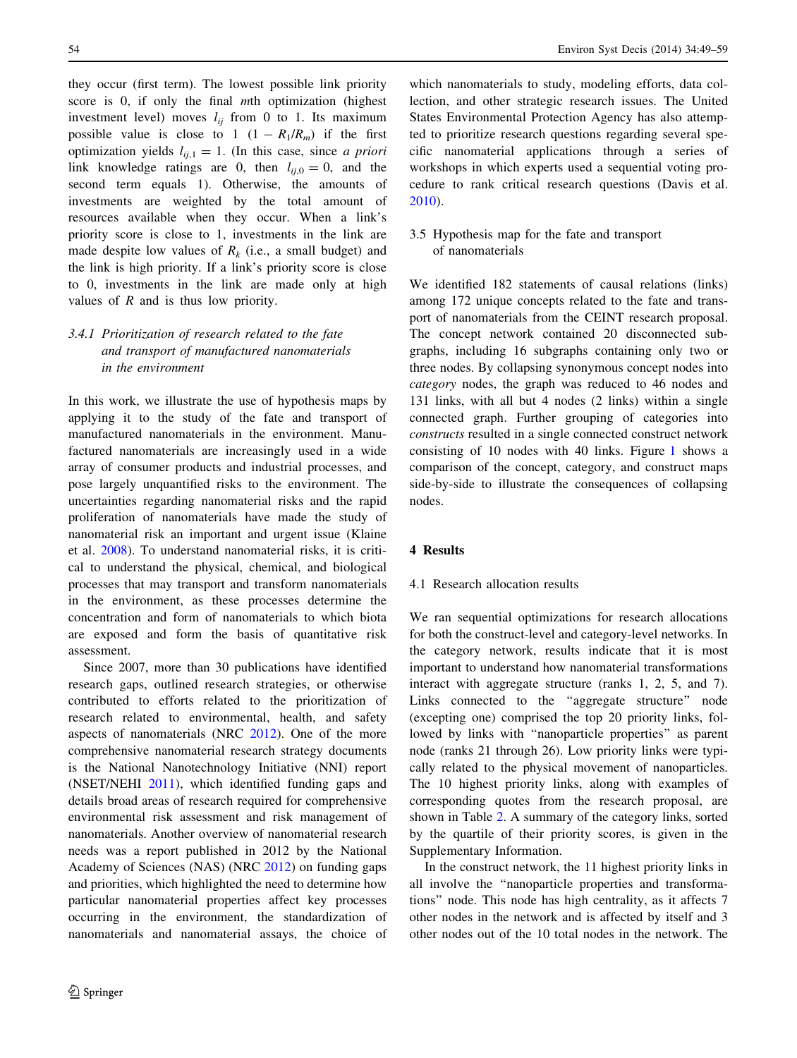they occur (first term). The lowest possible link priority score is 0, if only the final *mth* optimization (highest investment level) moves  $l_{ij}$  from 0 to 1. Its maximum possible value is close to 1  $(1 - R_1/R_m)$  if the first optimization yields  $l_{ij,1} = 1$ . (In this case, since *a priori* link knowledge ratings are 0, then  $l_{ii,0} = 0$ , and the second term equals 1). Otherwise, the amounts of investments are weighted by the total amount of resources available when they occur. When a link's priority score is close to 1, investments in the link are made despite low values of  $R_k$  (i.e., a small budget) and the link is high priority. If a link's priority score is close to 0, investments in the link are made only at high values of  $R$  and is thus low priority.

# 3.4.1 Prioritization of research related to the fate and transport of manufactured nanomaterials in the environment

In this work, we illustrate the use of hypothesis maps by applying it to the study of the fate and transport of manufactured nanomaterials in the environment. Manufactured nanomaterials are increasingly used in a wide array of consumer products and industrial processes, and pose largely unquantified risks to the environment. The uncertainties regarding nanomaterial risks and the rapid proliferation of nanomaterials have made the study of nanomaterial risk an important and urgent issue (Klaine et al. [2008](#page-9-0)). To understand nanomaterial risks, it is critical to understand the physical, chemical, and biological processes that may transport and transform nanomaterials in the environment, as these processes determine the concentration and form of nanomaterials to which biota are exposed and form the basis of quantitative risk assessment.

Since 2007, more than 30 publications have identified research gaps, outlined research strategies, or otherwise contributed to efforts related to the prioritization of research related to environmental, health, and safety aspects of nanomaterials (NRC [2012\)](#page-10-0). One of the more comprehensive nanomaterial research strategy documents is the National Nanotechnology Initiative (NNI) report (NSET/NEHI [2011](#page-10-0)), which identified funding gaps and details broad areas of research required for comprehensive environmental risk assessment and risk management of nanomaterials. Another overview of nanomaterial research needs was a report published in 2012 by the National Academy of Sciences (NAS) (NRC [2012\)](#page-10-0) on funding gaps and priorities, which highlighted the need to determine how particular nanomaterial properties affect key processes occurring in the environment, the standardization of nanomaterials and nanomaterial assays, the choice of

which nanomaterials to study, modeling efforts, data collection, and other strategic research issues. The United States Environmental Protection Agency has also attempted to prioritize research questions regarding several specific nanomaterial applications through a series of workshops in which experts used a sequential voting procedure to rank critical research questions (Davis et al. [2010](#page-9-0)).

# 3.5 Hypothesis map for the fate and transport of nanomaterials

We identified 182 statements of causal relations (links) among 172 unique concepts related to the fate and transport of nanomaterials from the CEINT research proposal. The concept network contained 20 disconnected subgraphs, including 16 subgraphs containing only two or three nodes. By collapsing synonymous concept nodes into category nodes, the graph was reduced to 46 nodes and 131 links, with all but 4 nodes (2 links) within a single connected graph. Further grouping of categories into constructs resulted in a single connected construct network consisting of 10 nodes with 40 links. Figure [1](#page-6-0) shows a comparison of the concept, category, and construct maps side-by-side to illustrate the consequences of collapsing nodes.

#### 4 Results

#### 4.1 Research allocation results

We ran sequential optimizations for research allocations for both the construct-level and category-level networks. In the category network, results indicate that it is most important to understand how nanomaterial transformations interact with aggregate structure (ranks 1, 2, 5, and 7). Links connected to the ''aggregate structure'' node (excepting one) comprised the top 20 priority links, followed by links with ''nanoparticle properties'' as parent node (ranks 21 through 26). Low priority links were typically related to the physical movement of nanoparticles. The 10 highest priority links, along with examples of corresponding quotes from the research proposal, are shown in Table [2](#page-7-0). A summary of the category links, sorted by the quartile of their priority scores, is given in the Supplementary Information.

In the construct network, the 11 highest priority links in all involve the ''nanoparticle properties and transformations'' node. This node has high centrality, as it affects 7 other nodes in the network and is affected by itself and 3 other nodes out of the 10 total nodes in the network. The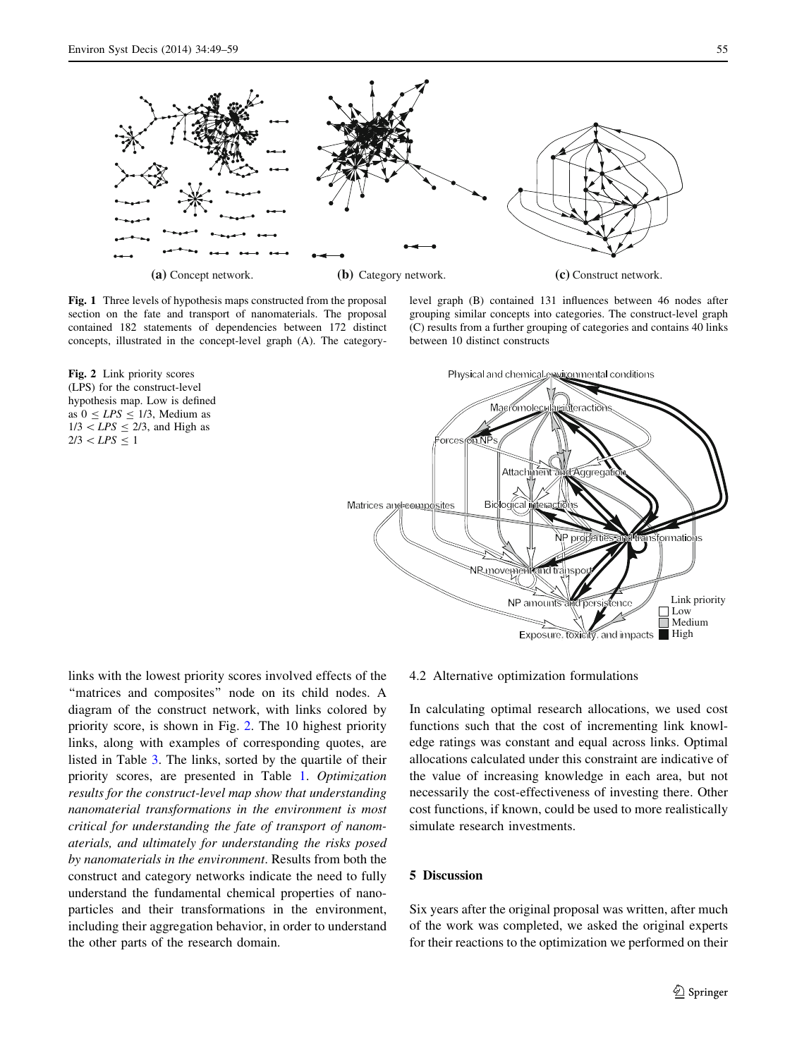<span id="page-6-0"></span>

Fig. 1 Three levels of hypothesis maps constructed from the proposal section on the fate and transport of nanomaterials. The proposal contained 182 statements of dependencies between 172 distinct concepts, illustrated in the concept-level graph (A). The category-

Fig. 2 Link priority scores (LPS) for the construct-level hypothesis map. Low is defined as  $0 \leq LPS \leq 1/3$ , Medium as  $1/3$  < LPS  $\le$  2/3, and High as  $2/3 < LPS < 1$ 





links with the lowest priority scores involved effects of the "matrices and composites" node on its child nodes. A diagram of the construct network, with links colored by priority score, is shown in Fig. 2. The 10 highest priority links, along with examples of corresponding quotes, are listed in Table [3](#page-8-0). The links, sorted by the quartile of their priority scores, are presented in Table [1.](#page-7-0) Optimization results for the construct-level map show that understanding nanomaterial transformations in the environment is most critical for understanding the fate of transport of nanomaterials, and ultimately for understanding the risks posed by nanomaterials in the environment. Results from both the construct and category networks indicate the need to fully understand the fundamental chemical properties of nanoparticles and their transformations in the environment, including their aggregation behavior, in order to understand the other parts of the research domain.

#### 4.2 Alternative optimization formulations

In calculating optimal research allocations, we used cost functions such that the cost of incrementing link knowledge ratings was constant and equal across links. Optimal allocations calculated under this constraint are indicative of the value of increasing knowledge in each area, but not necessarily the cost-effectiveness of investing there. Other cost functions, if known, could be used to more realistically simulate research investments.

# 5 Discussion

Six years after the original proposal was written, after much of the work was completed, we asked the original experts for their reactions to the optimization we performed on their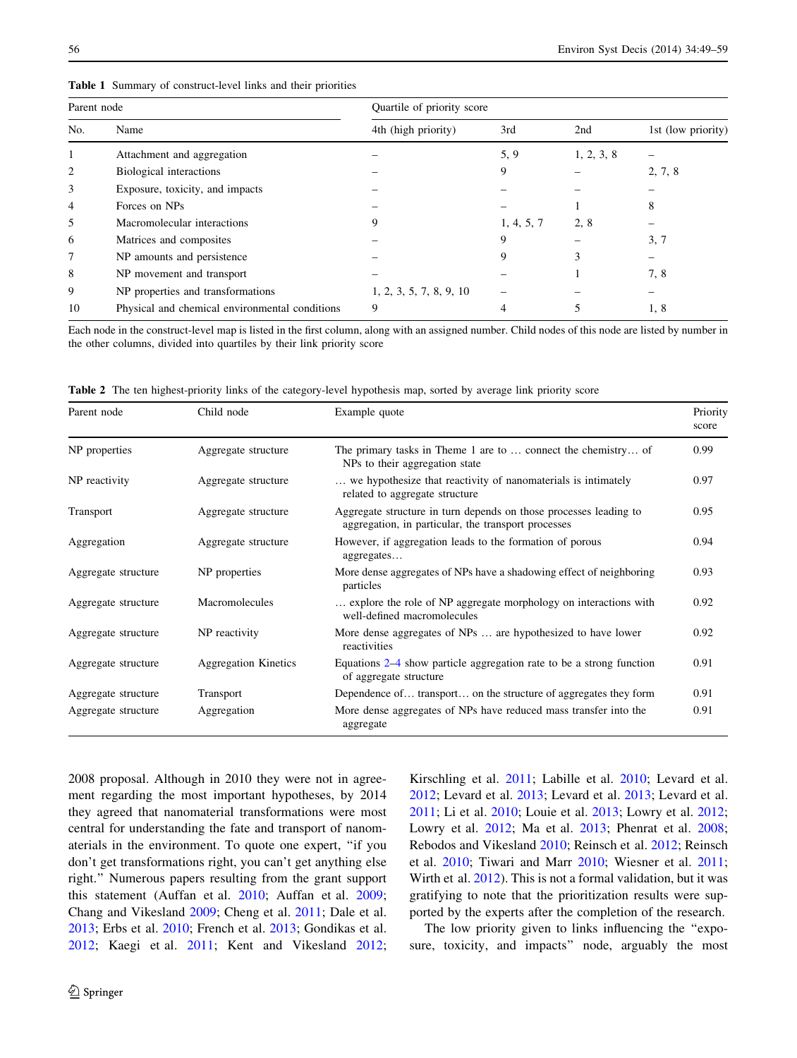| Parent node    |                                                | Quartile of priority score |            |            |                    |
|----------------|------------------------------------------------|----------------------------|------------|------------|--------------------|
| No.            | Name                                           | 4th (high priority)        | 3rd        | 2nd        | 1st (low priority) |
|                | Attachment and aggregation                     |                            | 5, 9       | 1, 2, 3, 8 |                    |
| 2              | Biological interactions                        |                            | 9          |            | 2, 7, 8            |
| 3              | Exposure, toxicity, and impacts                |                            |            |            |                    |
| $\overline{4}$ | Forces on NPs                                  |                            |            |            | 8                  |
| 5              | Macromolecular interactions                    | 9                          | 1, 4, 5, 7 | 2, 8       |                    |
| 6              | Matrices and composites                        |                            | 9          |            | 3, 7               |
| 7              | NP amounts and persistence                     |                            | 9          | 3          |                    |
| 8              | NP movement and transport                      |                            |            |            | 7, 8               |
| 9              | NP properties and transformations              | 1, 2, 3, 5, 7, 8, 9, 10    |            |            |                    |
| 10             | Physical and chemical environmental conditions | 9                          |            |            | 1, 8               |

<span id="page-7-0"></span>Table 1 Summary of construct-level links and their priorities

Each node in the construct-level map is listed in the first column, along with an assigned number. Child nodes of this node are listed by number in the other columns, divided into quartiles by their link priority score

| Parent node         | Child node                  | Example quote                                                                                                            | Priority<br>score |
|---------------------|-----------------------------|--------------------------------------------------------------------------------------------------------------------------|-------------------|
| NP properties       | Aggregate structure         | The primary tasks in Theme 1 are to  connect the chemistry of<br>NPs to their aggregation state                          | 0.99              |
| NP reactivity       | Aggregate structure         | we hypothesize that reactivity of nanomaterials is intimately<br>related to aggregate structure                          | 0.97              |
| Transport           | Aggregate structure         | Aggregate structure in turn depends on those processes leading to<br>aggregation, in particular, the transport processes | 0.95              |
| Aggregation         | Aggregate structure         | However, if aggregation leads to the formation of porous<br>aggregates                                                   | 0.94              |
| Aggregate structure | NP properties               | More dense aggregates of NPs have a shadowing effect of neighboring<br>particles                                         | 0.93              |
| Aggregate structure | Macromolecules              | explore the role of NP aggregate morphology on interactions with<br>well-defined macromolecules                          | 0.92              |
| Aggregate structure | NP reactivity               | More dense aggregates of NPs  are hypothesized to have lower<br>reactivities                                             | 0.92              |
| Aggregate structure | <b>Aggregation Kinetics</b> | Equations $2-4$ show particle aggregation rate to be a strong function<br>of aggregate structure                         | 0.91              |
| Aggregate structure | Transport                   | Dependence of transport on the structure of aggregates they form                                                         | 0.91              |
| Aggregate structure | Aggregation                 | More dense aggregates of NPs have reduced mass transfer into the<br>aggregate                                            | 0.91              |

Table 2 The ten highest-priority links of the category-level hypothesis map, sorted by average link priority score

2008 proposal. Although in 2010 they were not in agreement regarding the most important hypotheses, by 2014 they agreed that nanomaterial transformations were most central for understanding the fate and transport of nanomaterials in the environment. To quote one expert, ''if you don't get transformations right, you can't get anything else right.'' Numerous papers resulting from the grant support this statement (Auffan et al. [2010](#page-9-0); Auffan et al. [2009](#page-9-0); Chang and Vikesland [2009;](#page-9-0) Cheng et al. [2011;](#page-9-0) Dale et al. [2013;](#page-9-0) Erbs et al. [2010;](#page-9-0) French et al. [2013;](#page-9-0) Gondikas et al. [2012;](#page-9-0) Kaegi et al. [2011;](#page-9-0) Kent and Vikesland [2012](#page-9-0); Kirschling et al. [2011;](#page-9-0) Labille et al. [2010](#page-9-0); Levard et al. [2012](#page-9-0); Levard et al. [2013](#page-9-0); Levard et al. [2013;](#page-9-0) Levard et al. [2011](#page-10-0); Li et al. [2010](#page-10-0); Louie et al. [2013;](#page-10-0) Lowry et al. [2012](#page-10-0); Lowry et al. [2012;](#page-10-0) Ma et al. [2013](#page-10-0); Phenrat et al. [2008](#page-10-0); Rebodos and Vikesland [2010;](#page-10-0) Reinsch et al. [2012;](#page-10-0) Reinsch et al. [2010;](#page-10-0) Tiwari and Marr [2010;](#page-10-0) Wiesner et al. [2011](#page-10-0); Wirth et al. [2012](#page-10-0)). This is not a formal validation, but it was gratifying to note that the prioritization results were supported by the experts after the completion of the research.

The low priority given to links influencing the "exposure, toxicity, and impacts'' node, arguably the most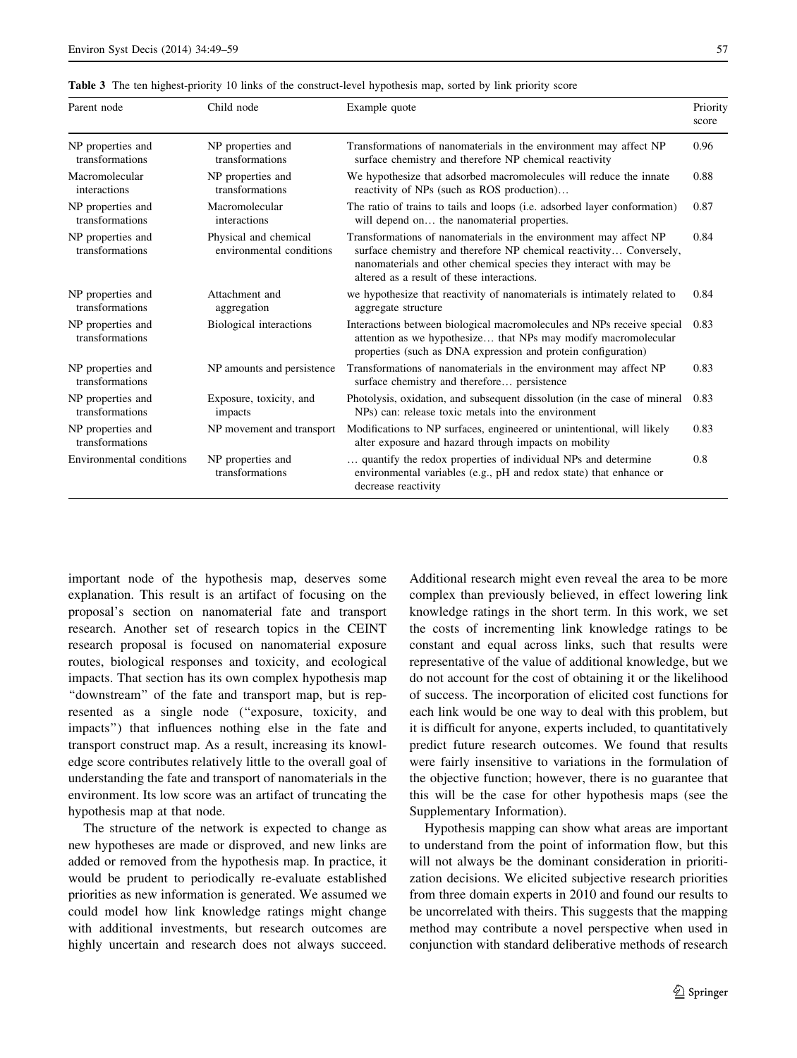<span id="page-8-0"></span>

| Parent node                          | Child node                                        | Example quote                                                                                                                                                                                                                                               | Priority<br>score |
|--------------------------------------|---------------------------------------------------|-------------------------------------------------------------------------------------------------------------------------------------------------------------------------------------------------------------------------------------------------------------|-------------------|
| NP properties and<br>transformations | NP properties and<br>transformations              | Transformations of nanomaterials in the environment may affect NP<br>surface chemistry and therefore NP chemical reactivity                                                                                                                                 | 0.96              |
| Macromolecular<br>interactions       | NP properties and<br>transformations              | We hypothesize that adsorbed macromolecules will reduce the innate<br>reactivity of NPs (such as ROS production)                                                                                                                                            | 0.88              |
| NP properties and<br>transformations | Macromolecular<br>interactions                    | The ratio of trains to tails and loops (i.e. adsorbed layer conformation)<br>will depend on the nanomaterial properties.                                                                                                                                    | 0.87              |
| NP properties and<br>transformations | Physical and chemical<br>environmental conditions | Transformations of nanomaterials in the environment may affect NP<br>surface chemistry and therefore NP chemical reactivity Conversely,<br>nanomaterials and other chemical species they interact with may be<br>altered as a result of these interactions. | 0.84              |
| NP properties and<br>transformations | Attachment and<br>aggregation                     | we hypothesize that reactivity of nanomaterials is intimately related to<br>aggregate structure                                                                                                                                                             | 0.84              |
| NP properties and<br>transformations | <b>Biological interactions</b>                    | Interactions between biological macromolecules and NPs receive special<br>attention as we hypothesize that NPs may modify macromolecular<br>properties (such as DNA expression and protein configuration)                                                   |                   |
| NP properties and<br>transformations | NP amounts and persistence                        | Transformations of nanomaterials in the environment may affect NP<br>surface chemistry and therefore persistence                                                                                                                                            | 0.83              |
| NP properties and<br>transformations | Exposure, toxicity, and<br>impacts                | Photolysis, oxidation, and subsequent dissolution (in the case of mineral<br>NPs) can: release toxic metals into the environment                                                                                                                            | 0.83              |
| NP properties and<br>transformations | NP movement and transport                         | Modifications to NP surfaces, engineered or unintentional, will likely<br>alter exposure and hazard through impacts on mobility                                                                                                                             | 0.83              |
| Environmental conditions             | NP properties and<br>transformations              | quantify the redox properties of individual NPs and determine<br>environmental variables (e.g., pH and redox state) that enhance or<br>decrease reactivity                                                                                                  | 0.8               |

important node of the hypothesis map, deserves some explanation. This result is an artifact of focusing on the proposal's section on nanomaterial fate and transport research. Another set of research topics in the CEINT research proposal is focused on nanomaterial exposure routes, biological responses and toxicity, and ecological impacts. That section has its own complex hypothesis map ''downstream'' of the fate and transport map, but is represented as a single node ("exposure, toxicity, and impacts'') that influences nothing else in the fate and transport construct map. As a result, increasing its knowledge score contributes relatively little to the overall goal of understanding the fate and transport of nanomaterials in the environment. Its low score was an artifact of truncating the hypothesis map at that node.

The structure of the network is expected to change as new hypotheses are made or disproved, and new links are added or removed from the hypothesis map. In practice, it would be prudent to periodically re-evaluate established priorities as new information is generated. We assumed we could model how link knowledge ratings might change with additional investments, but research outcomes are highly uncertain and research does not always succeed.

Additional research might even reveal the area to be more complex than previously believed, in effect lowering link knowledge ratings in the short term. In this work, we set the costs of incrementing link knowledge ratings to be constant and equal across links, such that results were representative of the value of additional knowledge, but we do not account for the cost of obtaining it or the likelihood of success. The incorporation of elicited cost functions for each link would be one way to deal with this problem, but it is difficult for anyone, experts included, to quantitatively predict future research outcomes. We found that results were fairly insensitive to variations in the formulation of the objective function; however, there is no guarantee that this will be the case for other hypothesis maps (see the Supplementary Information).

Hypothesis mapping can show what areas are important to understand from the point of information flow, but this will not always be the dominant consideration in prioritization decisions. We elicited subjective research priorities from three domain experts in 2010 and found our results to be uncorrelated with theirs. This suggests that the mapping method may contribute a novel perspective when used in conjunction with standard deliberative methods of research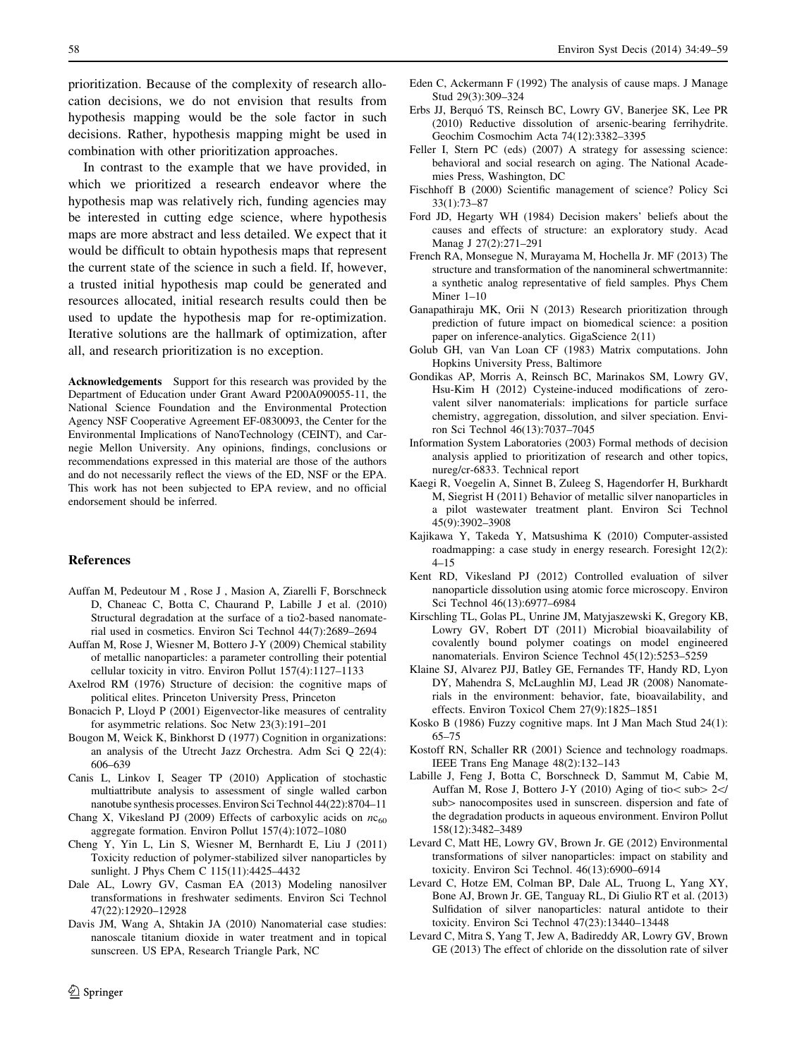<span id="page-9-0"></span>prioritization. Because of the complexity of research allocation decisions, we do not envision that results from hypothesis mapping would be the sole factor in such decisions. Rather, hypothesis mapping might be used in combination with other prioritization approaches.

In contrast to the example that we have provided, in which we prioritized a research endeavor where the hypothesis map was relatively rich, funding agencies may be interested in cutting edge science, where hypothesis maps are more abstract and less detailed. We expect that it would be difficult to obtain hypothesis maps that represent the current state of the science in such a field. If, however, a trusted initial hypothesis map could be generated and resources allocated, initial research results could then be used to update the hypothesis map for re-optimization. Iterative solutions are the hallmark of optimization, after all, and research prioritization is no exception.

Acknowledgements Support for this research was provided by the Department of Education under Grant Award P200A090055-11, the National Science Foundation and the Environmental Protection Agency NSF Cooperative Agreement EF-0830093, the Center for the Environmental Implications of NanoTechnology (CEINT), and Carnegie Mellon University. Any opinions, findings, conclusions or recommendations expressed in this material are those of the authors and do not necessarily reflect the views of the ED, NSF or the EPA. This work has not been subjected to EPA review, and no official endorsement should be inferred.

#### References

- Auffan M, Pedeutour M , Rose J , Masion A, Ziarelli F, Borschneck D, Chaneac C, Botta C, Chaurand P, Labille J et al. (2010) Structural degradation at the surface of a tio2-based nanomaterial used in cosmetics. Environ Sci Technol 44(7):2689–2694
- Auffan M, Rose J, Wiesner M, Bottero J-Y (2009) Chemical stability of metallic nanoparticles: a parameter controlling their potential cellular toxicity in vitro. Environ Pollut 157(4):1127–1133
- Axelrod RM (1976) Structure of decision: the cognitive maps of political elites. Princeton University Press, Princeton
- Bonacich P, Lloyd P (2001) Eigenvector-like measures of centrality for asymmetric relations. Soc Netw 23(3):191–201
- Bougon M, Weick K, Binkhorst D (1977) Cognition in organizations: an analysis of the Utrecht Jazz Orchestra. Adm Sci Q 22(4): 606–639
- Canis L, Linkov I, Seager TP (2010) Application of stochastic multiattribute analysis to assessment of single walled carbon nanotube synthesis processes. Environ Sci Technol 44(22):8704–11
- Chang X, Vikesland PJ (2009) Effects of carboxylic acids on  $nc_{60}$ aggregate formation. Environ Pollut 157(4):1072–1080
- Cheng Y, Yin L, Lin S, Wiesner M, Bernhardt E, Liu J (2011) Toxicity reduction of polymer-stabilized silver nanoparticles by sunlight. J Phys Chem C 115(11):4425–4432
- Dale AL, Lowry GV, Casman EA (2013) Modeling nanosilver transformations in freshwater sediments. Environ Sci Technol 47(22):12920–12928
- Davis JM, Wang A, Shtakin JA (2010) Nanomaterial case studies: nanoscale titanium dioxide in water treatment and in topical sunscreen. US EPA, Research Triangle Park, NC
- Eden C, Ackermann F (1992) The analysis of cause maps. J Manage Stud 29(3):309–324
- Erbs JJ, Berquó TS, Reinsch BC, Lowry GV, Banerjee SK, Lee PR (2010) Reductive dissolution of arsenic-bearing ferrihydrite. Geochim Cosmochim Acta 74(12):3382–3395
- Feller I, Stern PC (eds) (2007) A strategy for assessing science: behavioral and social research on aging. The National Academies Press, Washington, DC
- Fischhoff B (2000) Scientific management of science? Policy Sci 33(1):73–87
- Ford JD, Hegarty WH (1984) Decision makers' beliefs about the causes and effects of structure: an exploratory study. Acad Manag J 27(2):271–291
- French RA, Monsegue N, Murayama M, Hochella Jr. MF (2013) The structure and transformation of the nanomineral schwertmannite: a synthetic analog representative of field samples. Phys Chem Miner 1–10
- Ganapathiraju MK, Orii N (2013) Research prioritization through prediction of future impact on biomedical science: a position paper on inference-analytics. GigaScience 2(11)
- Golub GH, van Van Loan CF (1983) Matrix computations. John Hopkins University Press, Baltimore
- Gondikas AP, Morris A, Reinsch BC, Marinakos SM, Lowry GV, Hsu-Kim H (2012) Cysteine-induced modifications of zerovalent silver nanomaterials: implications for particle surface chemistry, aggregation, dissolution, and silver speciation. Environ Sci Technol 46(13):7037–7045
- Information System Laboratories (2003) Formal methods of decision analysis applied to prioritization of research and other topics, nureg/cr-6833. Technical report
- Kaegi R, Voegelin A, Sinnet B, Zuleeg S, Hagendorfer H, Burkhardt M, Siegrist H (2011) Behavior of metallic silver nanoparticles in a pilot wastewater treatment plant. Environ Sci Technol 45(9):3902–3908
- Kajikawa Y, Takeda Y, Matsushima K (2010) Computer-assisted roadmapping: a case study in energy research. Foresight 12(2): 4–15
- Kent RD, Vikesland PJ (2012) Controlled evaluation of silver nanoparticle dissolution using atomic force microscopy. Environ Sci Technol 46(13):6977–6984
- Kirschling TL, Golas PL, Unrine JM, Matyjaszewski K, Gregory KB, Lowry GV, Robert DT (2011) Microbial bioavailability of covalently bound polymer coatings on model engineered nanomaterials. Environ Science Technol 45(12):5253–5259
- Klaine SJ, Alvarez PJJ, Batley GE, Fernandes TF, Handy RD, Lyon DY, Mahendra S, McLaughlin MJ, Lead JR (2008) Nanomaterials in the environment: behavior, fate, bioavailability, and effects. Environ Toxicol Chem 27(9):1825–1851
- Kosko B (1986) Fuzzy cognitive maps. Int J Man Mach Stud 24(1): 65–75
- Kostoff RN, Schaller RR (2001) Science and technology roadmaps. IEEE Trans Eng Manage 48(2):132–143
- Labille J, Feng J, Botta C, Borschneck D, Sammut M, Cabie M, Auffan M, Rose J, Bottero J-Y (2010) Aging of tio $\lt$  sub $> 2\lt$ sub> nanocomposites used in sunscreen. dispersion and fate of the degradation products in aqueous environment. Environ Pollut 158(12):3482–3489
- Levard C, Matt HE, Lowry GV, Brown Jr. GE (2012) Environmental transformations of silver nanoparticles: impact on stability and toxicity. Environ Sci Technol. 46(13):6900–6914
- Levard C, Hotze EM, Colman BP, Dale AL, Truong L, Yang XY, Bone AJ, Brown Jr. GE, Tanguay RL, Di Giulio RT et al. (2013) Sulfidation of silver nanoparticles: natural antidote to their toxicity. Environ Sci Technol 47(23):13440–13448
- Levard C, Mitra S, Yang T, Jew A, Badireddy AR, Lowry GV, Brown GE (2013) The effect of chloride on the dissolution rate of silver